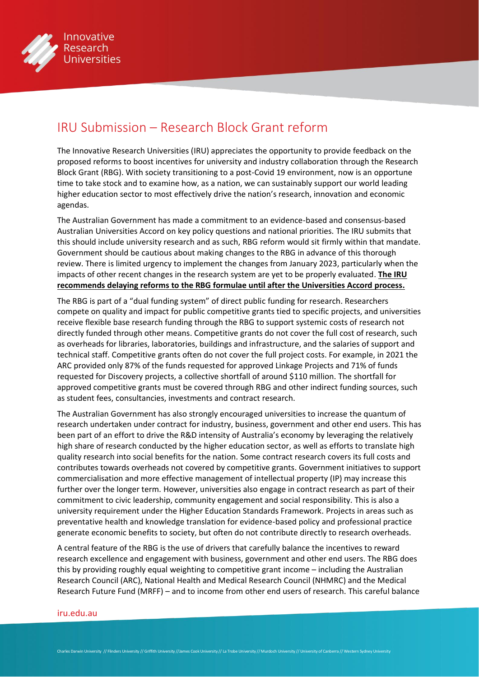

## IRU Submission – Research Block Grant reform

The Innovative Research Universities (IRU) appreciates the opportunity to provide feedback on the proposed reforms to boost incentives for university and industry collaboration through the Research Block Grant (RBG). With society transitioning to a post-Covid 19 environment, now is an opportune time to take stock and to examine how, as a nation, we can sustainably support our world leading higher education sector to most effectively drive the nation's research, innovation and economic agendas.

The Australian Government has made a commitment to an evidence-based and consensus-based Australian Universities Accord on key policy questions and national priorities. The IRU submits that this should include university research and as such, RBG reform would sit firmly within that mandate. Government should be cautious about making changes to the RBG in advance of this thorough review. There is limited urgency to implement the changes from January 2023, particularly when the impacts of other recent changes in the research system are yet to be properly evaluated. **The IRU recommends delaying reforms to the RBG formulae until after the Universities Accord process.**

The RBG is part of a "dual funding system" of direct public funding for research. Researchers compete on quality and impact for public competitive grants tied to specific projects, and universities receive flexible base research funding through the RBG to support systemic costs of research not directly funded through other means. Competitive grants do not cover the full cost of research, such as overheads for libraries, laboratories, buildings and infrastructure, and the salaries of support and technical staff. Competitive grants often do not cover the full project costs. For example, in 2021 the ARC provided only 87% of the funds requested for approved Linkage Projects and 71% of funds requested for Discovery projects, a collective shortfall of around \$110 million. The shortfall for approved competitive grants must be covered through RBG and other indirect funding sources, such as student fees, consultancies, investments and contract research.

The Australian Government has also strongly encouraged universities to increase the quantum of research undertaken under contract for industry, business, government and other end users. This has been part of an effort to drive the R&D intensity of Australia's economy by leveraging the relatively high share of research conducted by the higher education sector, as well as efforts to translate high quality research into social benefits for the nation. Some contract research covers its full costs and contributes towards overheads not covered by competitive grants. Government initiatives to support commercialisation and more effective management of intellectual property (IP) may increase this further over the longer term. However, universities also engage in contract research as part of their commitment to civic leadership, community engagement and social responsibility. This is also a university requirement under the Higher Education Standards Framework. Projects in areas such as preventative health and knowledge translation for evidence-based policy and professional practice generate economic benefits to society, but often do not contribute directly to research overheads.

A central feature of the RBG is the use of drivers that carefully balance the incentives to reward research excellence and engagement with business, government and other end users. The RBG does this by providing roughly equal weighting to competitive grant income – including the Australian Research Council (ARC), National Health and Medical Research Council (NHMRC) and the Medical Research Future Fund (MRFF) – and to income from other end users of research. This careful balance

## [iru.edu.au](http://iru.edu.au)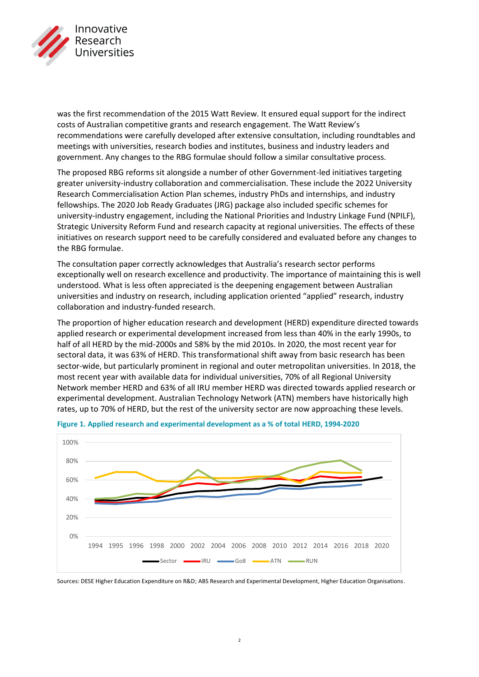

was the first recommendation of the 2015 Watt Review. It ensured equal support for the indirect costs of Australian competitive grants and research engagement. The Watt Review's recommendations were carefully developed after extensive consultation, including roundtables and meetings with universities, research bodies and institutes, business and industry leaders and government. Any changes to the RBG formulae should follow a similar consultative process.

The proposed RBG reforms sit alongside a number of other Government-led initiatives targeting greater university-industry collaboration and commercialisation. These include the 2022 University Research Commercialisation Action Plan schemes, industry PhDs and internships, and industry fellowships. The 2020 Job Ready Graduates (JRG) package also included specific schemes for university-industry engagement, including the National Priorities and Industry Linkage Fund (NPILF), Strategic University Reform Fund and research capacity at regional universities. The effects of these initiatives on research support need to be carefully considered and evaluated before any changes to the RBG formulae.

The consultation paper correctly acknowledges that Australia's research sector performs exceptionally well on research excellence and productivity. The importance of maintaining this is well understood. What is less often appreciated is the deepening engagement between Australian universities and industry on research, including application oriented "applied" research, industry collaboration and industry-funded research.

The proportion of higher education research and development (HERD) expenditure directed towards applied research or experimental development increased from less than 40% in the early 1990s, to half of all HERD by the mid-2000s and 58% by the mid 2010s. In 2020, the most recent year for sectoral data, it was 63% of HERD. This transformational shift away from basic research has been sector-wide, but particularly prominent in regional and outer metropolitan universities. In 2018, the most recent year with available data for individual universities, 70% of all Regional University Network member HERD and 63% of all IRU member HERD was directed towards applied research or experimental development. Australian Technology Network (ATN) members have historically high rates, up to 70% of HERD, but the rest of the university sector are now approaching these levels.



**Figure 1. Applied research and experimental development as a % of total HERD, 1994-2020** 

Sources: DESE Higher Education Expenditure on R&D; ABS Research and Experimental Development, Higher Education Organisations.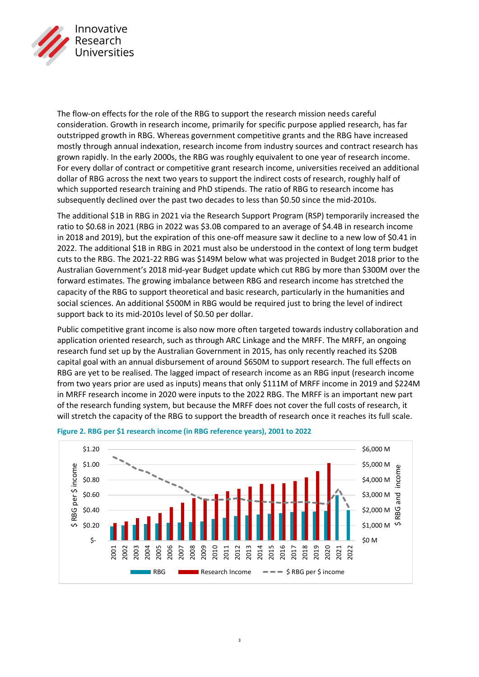

The flow-on effects for the role of the RBG to support the research mission needs careful consideration. Growth in research income, primarily for specific purpose applied research, has far outstripped growth in RBG. Whereas government competitive grants and the RBG have increased mostly through annual indexation, research income from industry sources and contract research has grown rapidly. In the early 2000s, the RBG was roughly equivalent to one year of research income. For every dollar of contract or competitive grant research income, universities received an additional dollar of RBG across the next two years to support the indirect costs of research, roughly half of which supported research training and PhD stipends. The ratio of RBG to research income has subsequently declined over the past two decades to less than \$0.50 since the mid-2010s.

The additional \$1B in RBG in 2021 via the Research Support Program (RSP) temporarily increased the ratio to \$0.68 in 2021 (RBG in 2022 was \$3.0B compared to an average of \$4.4B in research income in 2018 and 2019), but the expiration of this one-off measure saw it decline to a new low of \$0.41 in 2022. The additional \$1B in RBG in 2021 must also be understood in the context of long term budget cuts to the RBG. The 2021-22 RBG was \$149M below what was projected in Budget 2018 prior to the Australian Government's 2018 mid-year Budget update which cut RBG by more than \$300M over the forward estimates. The growing imbalance between RBG and research income has stretched the capacity of the RBG to support theoretical and basic research, particularly in the humanities and social sciences. An additional \$500M in RBG would be required just to bring the level of indirect support back to its mid-2010s level of \$0.50 per dollar.

Public competitive grant income is also now more often targeted towards industry collaboration and application oriented research, such as through ARC Linkage and the MRFF. The MRFF, an ongoing research fund set up by the Australian Government in 2015, has only recently reached its \$20B capital goal with an annual disbursement of around \$650M to support research. The full effects on RBG are yet to be realised. The lagged impact of research income as an RBG input (research income from two years prior are used as inputs) means that only \$111M of MRFF income in 2019 and \$224M in MRFF research income in 2020 were inputs to the 2022 RBG. The MRFF is an important new part of the research funding system, but because the MRFF does not cover the full costs of research, it will stretch the capacity of the RBG to support the breadth of research once it reaches its full scale.



## **Figure 2. RBG per \$1 research income (in RBG reference years), 2001 to 2022**